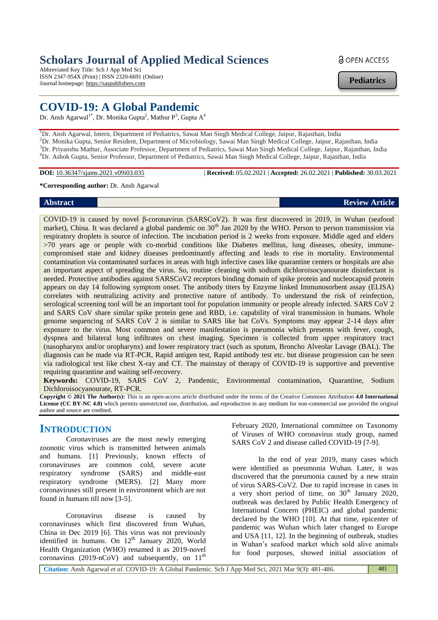# **Scholars Journal of Applied Medical Sciences**

Abbreviated Key Title: Sch J App Med Sci ISSN 2347-954X (Print) | ISSN 2320-6691 (Online) Journal homepage: https://saspublishers.com

# **COVID-19: A Global Pandemic**

Dr. Ansh Agarwal<sup>1\*</sup>, Dr. Monika Gupta<sup>2</sup>, Mathur P<sup>3</sup>, Gupta A<sup>4</sup>

<sup>1</sup>Dr. Ansh Agarwal, Intern, Department of Pediatrics, Sawai Man Singh Medical College, Jaipur, Rajasthan, India <sup>2</sup>Dr. Monika Gupta, Senior Resident, Department of Microbiology, Sawai Man Singh Medical College, Jaipur, Rajasthan, India <sup>3</sup>Dr. Priyanshu Mathur, Associate Professor, Department of Pediatrics, Sawai Man Singh Medical College, Jaipur, Rajasthan, India <sup>4</sup>Dr. Ashok Gupta, Senior Professor, Department of Pediatrics, Sawai Man Singh Medical College, Jaipur, Rajasthan, India

**DOI:** 10.36347/sjams.2021.v09i03.035 | **Received:** 05.02.2021 | **Accepted:** 26.02.2021 | **Published:** 30.03.2021

**\*Corresponding author:** Dr. Ansh Agarwal

COVID-19 is caused by novel β-coronavirus (SARSCoV2). It was first discovered in 2019, in Wuhan (seafood market), China. It was declared a global pandemic on 30<sup>th</sup> Jan 2020 by the WHO. Person to person transmission via respiratory droplets is source of infection. The incubation period is 2 weeks from exposure. Middle aged and elders >70 years age or people with co-morbid conditions like Diabetes mellitus, lung diseases, obesity, immunecompromised state and kidney diseases predominantly affecting and leads to rise in mortality. Environmental contamination via contaminated surfaces in areas with high infective cases like quarantine centers or hospitals are also an important aspect of spreading the virus. So, routine cleaning with sodium dichloroisocyanourate disinfectant is needed. Protective antibodies against SARSCoV2 receptors binding domain of spike protein and nucleocapsid protein appears on day 14 following symptom onset. The antibody titers by Enzyme linked Immunosorbent assay (ELISA) correlates with neutralizing activity and protective nature of antibody. To understand the risk of reinfection, serological screening tool will be an important tool for population immunity or people already infected. SARS CoV 2 and SARS CoV share similar spike protein gene and RBD, i.e. capability of viral transmission in humans. Whole genome sequencing of SARS CoV 2 is similar to SARS like bat CoVs. Symptoms may appear 2-14 days after exposure to the virus. Most common and severe manifestation is pneumonia which presents with fever, cough, dyspnea and bilateral lung infiltrates on chest imaging. Specimen is collected from upper respiratory tract (nasopharynx and/or oropharynx) and lower respiratory tract (such as sputum, Broncho Alveolar Lavage (BAL). The diagnosis can be made via RT-PCR, Rapid antigen test, Rapid antibody test etc. but disease progression can be seen via radiological test like chest X-ray and CT. The mainstay of therapy of COVID-19 is supportive and preventive requiring quarantine and waiting self-recovery.

**Keywords:** COVID-19, SARS CoV 2, Pandemic, Environmental contamination, Quarantine, Sodium Dichloroisocyanourate, RT-PCR.

**Copyright © 2021 The Author(s):** This is an open-access article distributed under the terms of the Creative Commons Attribution **4.0 International License (CC BY-NC 4.0)** which permits unrestricted use, distribution, and reproduction in any medium for non-commercial use provided the original author and source are credited.

# **INTRODUCTION**

Coronaviruses are the most newly emerging zoonotic virus which is transmitted between animals and humans. [1] Previously, known effects of coronaviruses are common cold, severe acute respiratory syndrome (SARS) and middle-east respiratory syndrome (MERS). [2] Many more coronaviruses still present in environment which are not found in humans till now [3-5].

Coronavirus disease is caused by coronaviruses which first discovered from Wuhan, China in Dec 2019 [6]. This virus was not previously identified in humans. On  $12<sup>th</sup>$  January 2020, World Health Organization (WHO) renamed it as 2019-novel coronavirus (2019-nCoV) and subsequently, on  $11<sup>th</sup>$ 

February 2020, International committee on Taxonomy of Viruses of WHO coronavirus study group, named SARS CoV 2 and disease called COVID-19 [7-9].

In the end of year 2019, many cases which were identified as pneumonia Wuhan. Later, it was discovered that the pneumonia caused by a new strain of virus SARS-CoV2. Due to rapid increase in cases in a very short period of time, on  $30<sup>th</sup>$  January 2020, outbreak was declared by Public Health Emergency of International Concern (PHEIC) and global pandemic declared by the WHO [10]. At that time, epicenter of pandemic was Wuhan which later changed to Europe and USA [11, 12]. In the beginning of outbreak, studies in Wuhan's seafood market which sold alive animals for food purposes, showed initial association of

**Citation:** Ansh Agarwal *et al*. COVID-19: A Global Pandemic. Sch J App Med Sci, 2021 Mar 9(3): 481-486. 481

# **a** OPEN ACCESS

**Pediatrics**

**Abstract Review Article**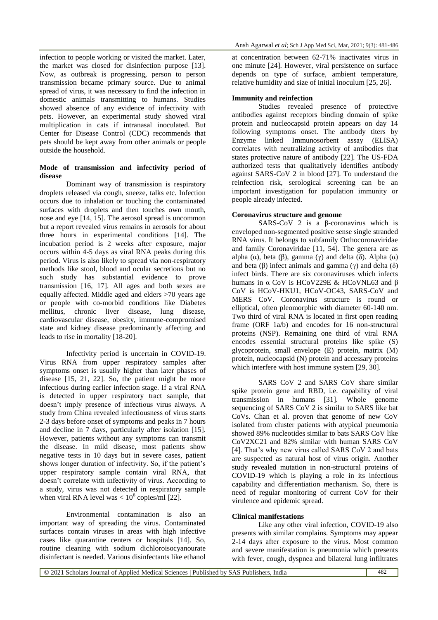infection to people working or visited the market. Later, the market was closed for disinfection purpose [13]. Now, as outbreak is progressing, person to person transmission became primary source. Due to animal spread of virus, it was necessary to find the infection in domestic animals transmitting to humans. Studies showed absence of any evidence of infectivity with pets. However, an experimental study showed viral multiplication in cats if intranasal inoculated. But Center for Disease Control (CDC) recommends that pets should be kept away from other animals or people outside the household.

#### **Mode of transmission and infectivity period of disease**

Dominant way of transmission is respiratory droplets released via cough, sneeze, talks etc. Infection occurs due to inhalation or touching the contaminated surfaces with droplets and then touches own mouth, nose and eye [14, 15]. The aerosol spread is uncommon but a report revealed virus remains in aerosols for about three hours in experimental conditions [14]. The incubation period is 2 weeks after exposure, major occurs within 4-5 days as viral RNA peaks during this period. Virus is also likely to spread via non-respiratory methods like stool, blood and ocular secretions but no such study has substantial evidence to prove transmission [16, 17]. All ages and both sexes are equally affected. Middle aged and elders >70 years age or people with co-morbid conditions like Diabetes mellitus, chronic liver disease, lung disease, cardiovascular disease, obesity, immune-compromised state and kidney disease predominantly affecting and leads to rise in mortality [18-20].

Infectivity period is uncertain in COVID-19. Virus RNA from upper respiratory samples after symptoms onset is usually higher than later phases of disease [15, 21, 22]. So, the patient might be more infectious during earlier infection stage. If a viral RNA is detected in upper respiratory tract sample, that doesn't imply presence of infectious virus always. A study from China revealed infectiousness of virus starts 2-3 days before onset of symptoms and peaks in 7 hours and decline in 7 days, particularly after isolation [15]. However, patients without any symptoms can transmit the disease. In mild disease, most patients show negative tests in 10 days but in severe cases, patient shows longer duration of infectivity. So, if the patient's upper respiratory sample contain viral RNA, that doesn't correlate with infectivity of virus. According to a study, virus was not detected in respiratory sample when viral RNA level was  $< 10^6$  copies/ml [22].

Environmental contamination is also an important way of spreading the virus. Contaminated surfaces contain viruses in areas with high infective cases like quarantine centers or hospitals [14]. So, routine cleaning with sodium dichloroisocyanourate disinfectant is needed. Various disinfectants like ethanol

at concentration between 62-71% inactivates virus in one minute [24]. However, viral persistence on surface depends on type of surface, ambient temperature, relative humidity and size of initial inoculum [25, 26].

#### **Immunity and reinfection**

Studies revealed presence of protective antibodies against receptors binding domain of spike protein and nucleocapsid protein appears on day 14 following symptoms onset. The antibody titers by Enzyme linked Immunosorbent assay (ELISA) correlates with neutralizing activity of antibodies that states protective nature of antibody [22]. The US-FDA authorized tests that qualitatively identifies antibody against SARS-CoV 2 in blood [27]. To understand the reinfection risk, serological screening can be an important investigation for population immunity or people already infected.

#### **Coronavirus structure and genome**

SARS-CoV 2 is a β-coronavirus which is enveloped non-segmented positive sense single stranded RNA virus. It belongs to subfamily Orthocoronaviridae and family Coronaviridae [11, 54]. The genera are as alpha (α), beta (β), gamma (γ) and delta (δ). Alpha (α) and beta ( $\beta$ ) infect animals and gamma ( $\gamma$ ) and delta ( $\delta$ ) infect birds. There are six coronaviruses which infects humans in α CoV is HCoV229E & HCoVNL63 and β CoV is HCoV-HKU1, HCoV-OC43, SARS-CoV and MERS CoV. Coronavirus structure is round or elliptical, often pleomorphic with diameter 60-140 nm. Two third of viral RNA is located in first open reading frame (ORF 1a/b) and encodes for 16 non-structural proteins (NSP). Remaining one third of viral RNA encodes essential structural proteins like spike (S) glycoprotein, small envelope (E) protein, matrix (M) protein, nucleocapsid (N) protein and accessary proteins which interfere with host immune system [29, 30].

SARS CoV 2 and SARS CoV share similar spike protein gene and RBD, i.e. capability of viral transmission in humans [31]. Whole genome sequencing of SARS CoV 2 is similar to SARS like bat CoVs. Chan et al. proven that genome of new CoV isolated from cluster patients with atypical pneumonia showed 89% nucleotides similar to bats SARS CoV like CoV2XC21 and 82% similar with human SARS CoV [4]. That's why new virus called SARS CoV 2 and bats are suspected as natural host of virus origin. Another study revealed mutation in non-structural proteins of COVID-19 which is playing a role in its infectious capability and differentiation mechanism. So, there is need of regular monitoring of current CoV for their virulence and epidemic spread.

#### **Clinical manifestations**

Like any other viral infection, COVID-19 also presents with similar complains. Symptoms may appear 2-14 days after exposure to the virus. Most common and severe manifestation is pneumonia which presents with fever, cough, dyspnea and bilateral lung infiltrates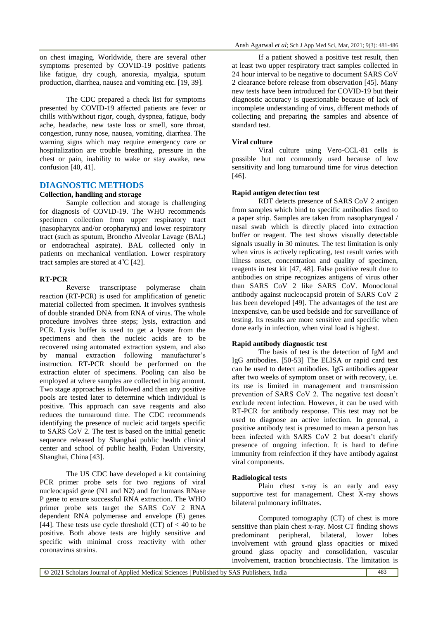on chest imaging. Worldwide, there are several other symptoms presented by COVID-19 positive patients like fatigue, dry cough, anorexia, myalgia, sputum production, diarrhea, nausea and vomiting etc. [19, 39].

The CDC prepared a check list for symptoms presented by COVID-19 affected patients are fever or chills with/without rigor, cough, dyspnea, fatigue, body ache, headache, new taste loss or smell, sore throat, congestion, runny nose, nausea, vomiting, diarrhea. The warning signs which may require emergency care or hospitalization are trouble breathing, pressure in the chest or pain, inability to wake or stay awake, new confusion [40, 41].

## **DIAGNOSTIC METHODS**

#### **Collection, handling and storage**

Sample collection and storage is challenging for diagnosis of COVID-19. The WHO recommends specimen collection from upper respiratory tract (nasopharynx and/or oropharynx) and lower respiratory tract (such as sputum, Broncho Alveolar Lavage (BAL) or endotracheal aspirate). BAL collected only in patients on mechanical ventilation. Lower respiratory tract samples are stored at  $4^{\circ}$ C [42].

### **RT-PCR**

Reverse transcriptase polymerase chain reaction (RT-PCR) is used for amplification of genetic material collected from specimen. It involves synthesis of double stranded DNA from RNA of virus. The whole procedure involves three steps; lysis, extraction and PCR. Lysis buffer is used to get a lysate from the specimens and then the nucleic acids are to be recovered using automated extraction system, and also by manual extraction following manufacturer's instruction. RT-PCR should be performed on the extraction eluter of specimens. Pooling can also be employed at where samples are collected in big amount. Two stage approaches is followed and then any positive pools are tested later to determine which individual is positive. This approach can save reagents and also reduces the turnaround time. The CDC recommends identifying the presence of nucleic acid targets specific to SARS CoV 2. The test is based on the initial genetic sequence released by Shanghai public health clinical center and school of public health, Fudan University, Shanghai, China [43].

The US CDC have developed a kit containing PCR primer probe sets for two regions of viral nucleocapsid gene (N1 and N2) and for humans RNase P gene to ensure successful RNA extraction. The WHO primer probe sets target the SARS CoV 2 RNA dependent RNA polymerase and envelope (E) genes [44]. These tests use cycle threshold  $(CT)$  of  $< 40$  to be positive. Both above tests are highly sensitive and specific with minimal cross reactivity with other coronavirus strains.

If a patient showed a positive test result, then at least two upper respiratory tract samples collected in 24 hour interval to be negative to document SARS CoV 2 clearance before release from observation [45]. Many new tests have been introduced for COVID-19 but their diagnostic accuracy is questionable because of lack of incomplete understanding of virus, different methods of collecting and preparing the samples and absence of standard test.

#### **Viral culture**

Viral culture using Vero-CCL-81 cells is possible but not commonly used because of low sensitivity and long turnaround time for virus detection [46].

#### **Rapid antigen detection test**

RDT detects presence of SARS CoV 2 antigen from samples which bind to specific antibodies fixed to a paper strip. Samples are taken from nasopharyngeal / nasal swab which is directly placed into extraction buffer or reagent. The test shows visually detectable signals usually in 30 minutes. The test limitation is only when virus is actively replicating, test result varies with illness onset, concentration and quality of specimen, reagents in test kit [47, 48]. False positive result due to antibodies on stripe recognizes antigens of virus other than SARS CoV 2 like SARS CoV. Monoclonal antibody against nucleocapsid protein of SARS CoV 2 has been developed [49]. The advantages of the test are inexpensive, can be used bedside and for surveillance of testing. Its results are more sensitive and specific when done early in infection, when viral load is highest.

### **Rapid antibody diagnostic test**

The basis of test is the detection of IgM and IgG antibodies. [50-53] The ELISA or rapid card test can be used to detect antibodies. IgG antibodies appear after two weeks of symptom onset or with recovery, i.e. its use is limited in management and transmission prevention of SARS CoV 2. The negative test doesn't exclude recent infection. However, it can be used with RT-PCR for antibody response. This test may not be used to diagnose an active infection. In general, a positive antibody test is presumed to mean a person has been infected with SARS CoV 2 but doesn't clarify presence of ongoing infection. It is hard to define immunity from reinfection if they have antibody against viral components.

#### **Radiological tests**

Plain chest x-ray is an early and easy supportive test for management. Chest X-ray shows bilateral pulmonary infiltrates.

Computed tomography (CT) of chest is more sensitive than plain chest x-ray. Most CT finding shows predominant peripheral, bilateral, lower lobes involvement with ground glass opacities or mixed ground glass opacity and consolidation, vascular involvement, traction bronchiectasis. The limitation is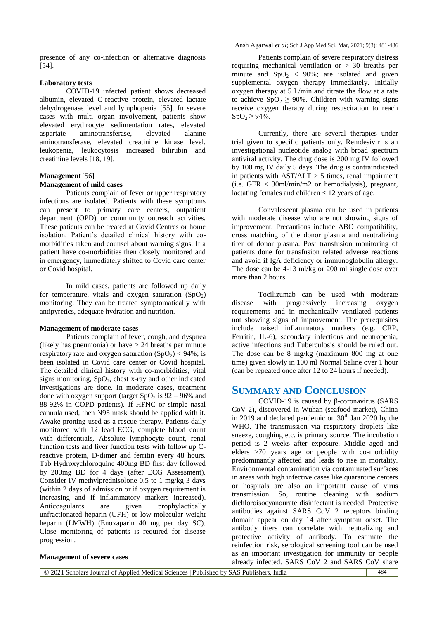#### **Laboratory tests**

COVID-19 infected patient shows decreased albumin, elevated C-reactive protein, elevated lactate dehydrogenase level and lymphopenia [55]. In severe cases with multi organ involvement, patients show elevated erythrocyte sedimentation rates, elevated aspartate aminotransferase, elevated alanine aminotransferase, elevated creatinine kinase level, leukopenia, leukocytosis increased bilirubin and creatinine levels [18, 19].

### **Management** [56] **Management of mild cases**

Patients complain of fever or upper respiratory infections are isolated. Patients with these symptoms can present to primary care centers, outpatient department (OPD) or community outreach activities. These patients can be treated at Covid Centres or home isolation. Patient's detailed clinical history with comorbidities taken and counsel about warning signs. If a patient have co-morbidities then closely monitored and in emergency, immediately shifted to Covid care center or Covid hospital.

In mild cases, patients are followed up daily for temperature, vitals and oxygen saturation  $(SpO<sub>2</sub>)$ monitoring. They can be treated symptomatically with antipyretics, adequate hydration and nutrition.

#### **Management of moderate cases**

Patients complain of fever, cough, and dyspnea (likely has pneumonia) or have  $> 24$  breaths per minute respiratory rate and oxygen saturation  $(SpO<sub>2</sub>) < 94\%$ ; is been isolated in Covid care center or Covid hospital. The detailed clinical history with co-morbidities, vital signs monitoring,  $SpO<sub>2</sub>$ , chest x-ray and other indicated investigations are done. In moderate cases, treatment done with oxygen support (target  $SpO<sub>2</sub>$  is 92 – 96% and 88-92% in COPD patients). If HFNC or simple nasal cannula used, then N95 mask should be applied with it. Awake proning used as a rescue therapy. Patients daily monitored with 12 lead ECG, complete blood count with differentials, Absolute lymphocyte count, renal function tests and liver function tests with follow up Creactive protein, D-dimer and ferritin every 48 hours. Tab Hydroxychloroquine 400mg BD first day followed by 200mg BD for 4 days (after ECG Assessment). Consider IV methylprednisolone 0.5 to 1 mg/kg 3 days (within 2 days of admission or if oxygen requirement is increasing and if inflammatory markers increased). Anticoagulants are given prophylactically unfractionated heparin (UFH) or low molecular weight heparin (LMWH) (Enoxaparin 40 mg per day SC). Close monitoring of patients is required for disease progression.

Patients complain of severe respiratory distress requiring mechanical ventilation or > 30 breaths per minute and  $SpO<sub>2</sub> < 90\%$ ; are isolated and given supplemental oxygen therapy immediately. Initially oxygen therapy at 5 L/min and titrate the flow at a rate to achieve  $SpO<sub>2</sub> \ge 90\%$ . Children with warning signs receive oxygen therapy during resuscitation to reach  $SpO<sub>2</sub> \ge 94\%$ .

Currently, there are several therapies under trial given to specific patients only. Remdesivir is an investigational nucleotide analog with broad spectrum antiviral activity. The drug dose is 200 mg IV followed by 100 mg IV daily 5 days. The drug is contraindicated in patients with  $AST/ALT > 5$  times, renal impairment (i.e. GFR < 30ml/min/m2 or hemodialysis), pregnant, lactating females and children  $< 12$  years of age.

Convalescent plasma can be used in patients with moderate disease who are not showing signs of improvement. Precautions include ABO compatibility, cross matching of the donor plasma and neutralizing titer of donor plasma. Post transfusion monitoring of patients done for transfusion related adverse reactions and avoid if IgA deficiency or immunoglobulin allergy. The dose can be 4-13 ml/kg or 200 ml single dose over more than 2 hours.

Tocilizumab can be used with moderate disease with progressively increasing oxygen requirements and in mechanically ventilated patients not showing signs of improvement. The prerequisites include raised inflammatory markers (e.g. CRP, Ferritin, IL-6), secondary infections and neutropenia, active infections and Tuberculosis should be ruled out. The dose can be 8 mg/kg (maximum 800 mg at one time) given slowly in 100 ml Normal Saline over 1 hour (can be repeated once after 12 to 24 hours if needed).

# **SUMMARY AND CONCLUSION**

COVID-19 is caused by β-coronavirus (SARS CoV 2), discovered in Wuhan (seafood market), China in 2019 and declared pandemic on  $30<sup>th</sup>$  Jan 2020 by the WHO. The transmission via respiratory droplets like sneeze, coughing etc. is primary source. The incubation period is 2 weeks after exposure. Middle aged and elders >70 years age or people with co-morbidity predominantly affected and leads to rise in mortality. Environmental contamination via contaminated surfaces in areas with high infective cases like quarantine centers or hospitals are also an important cause of virus transmission. So, routine cleaning with sodium dichloroisocyanourate disinfectant is needed. Protective antibodies against SARS CoV 2 receptors binding domain appear on day 14 after symptom onset. The antibody titers can correlate with neutralizing and protective activity of antibody. To estimate the reinfection risk, serological screening tool can be used as an important investigation for immunity or people already infected. SARS CoV 2 and SARS CoV share

### **Management of severe cases**

© 2021 Scholars Journal of Applied Medical Sciences | Published by SAS Publishers, India 484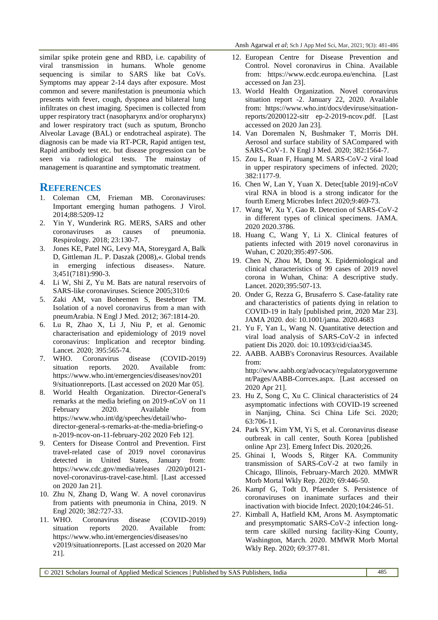similar spike protein gene and RBD, i.e. capability of viral transmission in humans. Whole genome sequencing is similar to SARS like bat CoVs. Symptoms may appear 2-14 days after exposure. Most common and severe manifestation is pneumonia which presents with fever, cough, dyspnea and bilateral lung infiltrates on chest imaging. Specimen is collected from upper respiratory tract (nasopharynx and/or oropharynx) and lower respiratory tract (such as sputum, Broncho Alveolar Lavage (BAL) or endotracheal aspirate). The diagnosis can be made via RT-PCR, Rapid antigen test, Rapid antibody test etc. but disease progression can be seen via radiological tests. The mainstay of management is quarantine and symptomatic treatment.

# **REFERENCES**

- 1. Coleman CM, Frieman MB. Coronaviruses: Important emerging human pathogens. J Virol. 2014;88:5209-12
- 2. Yin Y, Wunderink RG. MERS, SARS and other coronaviruses as causes of pneumonia. Respirology. 2018; 23:130-7.
- 3. Jones KE, Patel NG, Levy MA, Storeygard A, Balk D, Gittleman JL. P. Daszak (2008),«. Global trends in emerging infectious diseases». Nature. 3;451(7181):990-3.
- 4. Li W, Shi Z, Yu M. Bats are natural reservoirs of SARS-like coronaviruses. Science 2005;310:6
- 5. Zaki AM, van Boheemen S, Bestebroer TM. Isolation of a novel coronavirus from a man with pneumArabia. N Engl J Med. 2012; 367:1814-20.
- 6. Lu R, Zhao X, Li J, Niu P, et al. Genomic characterisation and epidemiology of 2019 novel coronavirus: Implication and receptor binding. Lancet. 2020; 395:565-74.
- 7. WHO. Coronavirus disease (COVID-2019) situation reports. 2020. Available from: https://www.who.int/emergencies/diseases/nov201 9/situationreports. [Last accessed on 2020 Mar 05].
- 8. World Health Organization. Director-General's remarks at the media briefing on 2019-nCoV on 11 February 2020. Available from https://www.who.int/dg/speeches/detail/whodirector-general-s-remarks-at-the-media-briefing-o n-2019-ncov-on-11-february-202 2020 Feb 12].
- 9. Centers for Disease Control and Prevention. First travel-related case of 2019 novel coronavirus detected in United States, January from: https://www.cdc.gov/media/releases /2020/p0121 novel-coronavirus-travel-case.html. [Last accessed on 2020 Jan 21].
- 10. Zhu N, Zhang D, Wang W. A novel coronavirus from patients with pneumonia in China, 2019. N Engl 2020; 382:727-33.
- 11. WHO. Coronavirus disease (COVID-2019) situation reports 2020. Available from: https://www.who.int/emergencies/diseases/no v2019/situationreports. [Last accessed on 2020 Mar 21].
- 12. European Centre for Disease Prevention and Control. Novel coronavirus in China. Available from: https://www.ecdc.europa.eu/enchina. [Last accessed on Jan 23].
- 13. World Health Organization. Novel coronavirus situation report -2. January 22, 2020. Available from: https://www.who.int/docs/deviruse/situationreports/20200122-sitr ep-2-2019-ncov.pdf. [Last accessed on 2020 Jan 23].
- 14. Van Doremalen N, Bushmaker T, Morris DH. Aerosol and surface stability of SACompared with SARS-CoV-1. N Engl J Med. 2020; 382:1564-7.
- 15. Zou L, Ruan F, Huang M. SARS-CoV-2 viral load in upper respiratory specimens of infected. 2020; 382:1177-9.
- 16. Chen W, Lan Y, Yuan X. Detec[table 2019]-nCoV viral RNA in blood is a strong indicator for the fourth Emerg Microbes Infect 2020;9:469-73.
- 17. Wang W, Xu Y, Gao R. Detection of SARS-CoV-2 in different types of clinical specimens. JAMA. 2020 2020.3786.
- 18. Huang C, Wang Y, Li X. Clinical features of patients infected with 2019 novel coronavirus in Wuhan, C 2020;395:497-506.
- 19. Chen N, Zhou M, Dong X. Epidemiological and clinical characteristics of 99 cases of 2019 novel corona in Wuhan, China: A descriptive study. Lancet. 2020;395:507-13.
- 20. Onder G, Rezza G, Brusaferro S. Case-fatality rate and characteristics of patients dying in relation to COVID-19 in Italy [published print, 2020 Mar 23]. JAMA 2020. doi: 10.1001/jama. 2020.4683
- 21. Yu F, Yan L, Wang N. Quantitative detection and viral load analysis of SARS-CoV-2 in infected patient Dis 2020. doi: 10.1093/cid/ciaa345.
- 22. AABB. AABB's Coronavirus Resources. Available from: http://www.aabb.org/advocacy/regulatorygovernme nt/Pages/AABB-Corrces.aspx. [Last accessed on 2020 Apr 21]. 23. Hu Z, Song C, Xu C. Clinical characteristics of 24
- asymptomatic infections with COVID-19 screened in Nanjing, China. Sci China Life Sci. 2020; 63:706-11.
- 24. Park SY, Kim YM, Yi S, et al. Coronavirus disease outbreak in call center, South Korea [published online Apr 23]. Emerg Infect Dis. 2020;26.
- 25. Ghinai I, Woods S, Ritger KA. Community transmission of SARS-CoV-2 at two family in Chicago, Illinois, February-March 2020. MMWR Morb Mortal Wkly Rep. 2020; 69:446-50.
- 26. Kampf G, Todt D, Pfaender S. Persistence of coronaviruses on inanimate surfaces and their inactivation with biocide Infect. 2020;104:246-51.
- 27. Kimball A, Hatfield KM, Arons M. Asymptomatic and presymptomatic SARS-CoV-2 infection longterm care skilled nursing facility-King County, Washington, March. 2020. MMWR Morb Mortal Wkly Rep. 2020; 69:377-81.

© 2021 Scholars Journal of Applied Medical Sciences | Published by SAS Publishers, India 485